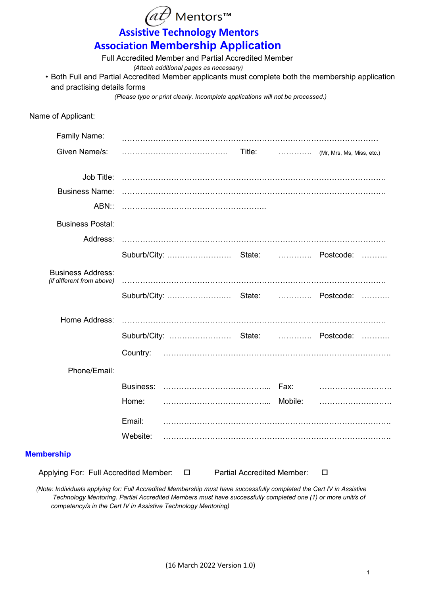|                                                                                                    |          | Mentors™                                                                       |                                   |   |  |
|----------------------------------------------------------------------------------------------------|----------|--------------------------------------------------------------------------------|-----------------------------------|---|--|
|                                                                                                    |          | <b>Assistive Technology Mentors</b>                                            |                                   |   |  |
|                                                                                                    |          | <b>Association Membership Application</b>                                      |                                   |   |  |
|                                                                                                    |          | <b>Full Accredited Member and Partial Accredited Member</b>                    |                                   |   |  |
| • Both Full and Partial Accredited Member applicants must complete both the membership application |          | (Attach additional pages as necessary)                                         |                                   |   |  |
| and practising details forms                                                                       |          | (Please type or print clearly. Incomplete applications will not be processed.) |                                   |   |  |
|                                                                                                    |          |                                                                                |                                   |   |  |
| Name of Applicant:                                                                                 |          |                                                                                |                                   |   |  |
| <b>Family Name:</b>                                                                                |          |                                                                                |                                   |   |  |
| Given Name/s:                                                                                      |          |                                                                                |                                   |   |  |
|                                                                                                    |          |                                                                                |                                   |   |  |
| <b>Business Name:</b>                                                                              |          |                                                                                |                                   |   |  |
|                                                                                                    |          |                                                                                |                                   |   |  |
| <b>Business Postal:</b>                                                                            |          |                                                                                |                                   |   |  |
| Address:                                                                                           |          |                                                                                |                                   |   |  |
|                                                                                                    |          |                                                                                |                                   |   |  |
| <b>Business Address:</b>                                                                           |          |                                                                                |                                   |   |  |
| (if different from above)                                                                          |          |                                                                                |                                   |   |  |
|                                                                                                    |          |                                                                                |                                   |   |  |
| Home Address:                                                                                      |          |                                                                                |                                   |   |  |
|                                                                                                    |          | Suburb/City:  State:  Postcode:                                                |                                   |   |  |
|                                                                                                    | Country: |                                                                                |                                   |   |  |
| Phone/Email:                                                                                       |          |                                                                                |                                   |   |  |
|                                                                                                    |          |                                                                                |                                   |   |  |
|                                                                                                    | Home:    |                                                                                |                                   |   |  |
|                                                                                                    | Email:   |                                                                                |                                   |   |  |
|                                                                                                    | Website: |                                                                                |                                   |   |  |
| <b>Membership</b>                                                                                  |          |                                                                                |                                   |   |  |
| Applying For: Full Accredited Member:                                                              |          | $\Box$                                                                         | <b>Partial Accredited Member:</b> | □ |  |

 *(Note: Individuals applying for: Full Accredited Membership must have successfully completed the Cert IV in Assistive Technology Mentoring. Partial Accredited Members must have successfully completed one (1) or more unit/s of competency/s in the Cert IV in Assistive Technology Mentoring)*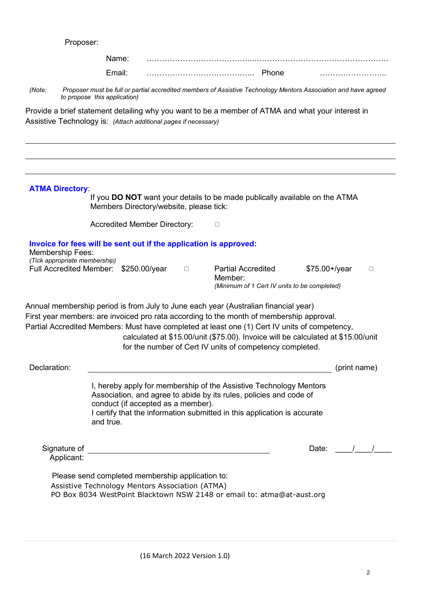Proposer:

|                                                                                                                                                                 | Name:<br>Email:                                                                                     |               |   | Phone                                                                                                                                                                                                                                                                                                                                                                                                                            |                  |              |
|-----------------------------------------------------------------------------------------------------------------------------------------------------------------|-----------------------------------------------------------------------------------------------------|---------------|---|----------------------------------------------------------------------------------------------------------------------------------------------------------------------------------------------------------------------------------------------------------------------------------------------------------------------------------------------------------------------------------------------------------------------------------|------------------|--------------|
|                                                                                                                                                                 |                                                                                                     |               |   |                                                                                                                                                                                                                                                                                                                                                                                                                                  |                  |              |
| (Note:                                                                                                                                                          | to propose this application)                                                                        |               |   | Proposer must be full or partial accredited members of Assistive Technology Mentors Association and have agreed                                                                                                                                                                                                                                                                                                                  |                  |              |
| Assistive Technology is: (Attach additional pages if necessary)                                                                                                 |                                                                                                     |               |   | Provide a brief statement detailing why you want to be a member of ATMA and what your interest in                                                                                                                                                                                                                                                                                                                                |                  |              |
|                                                                                                                                                                 |                                                                                                     |               |   |                                                                                                                                                                                                                                                                                                                                                                                                                                  |                  |              |
| <b>ATMA Directory</b>                                                                                                                                           | Members Directory/website, please tick:                                                             |               |   | If you DO NOT want your details to be made publically available on the ATMA                                                                                                                                                                                                                                                                                                                                                      |                  |              |
|                                                                                                                                                                 | <b>Accredited Member Directory:</b>                                                                 |               |   | $\Box$                                                                                                                                                                                                                                                                                                                                                                                                                           |                  |              |
| Invoice for fees will be sent out if the application is approved:<br><b>Membership Fees:</b><br>(Tick appropriate membership)<br><b>Full Accredited Member:</b> |                                                                                                     | \$250.00/year | □ | <b>Partial Accredited</b><br>Member:<br>(Minimum of 1 Cert IV units to be completed)                                                                                                                                                                                                                                                                                                                                             | $$75.00 + /year$ | $\Box$       |
|                                                                                                                                                                 |                                                                                                     |               |   | Annual membership period is from July to June each year (Australian financial year)<br>First year members: are invoiced pro rata according to the month of membership approval.<br>Partial Accredited Members: Must have completed at least one (1) Cert IV units of competency,<br>calculated at \$15.00/unit (\$75.00). Invoice will be calculated at \$15.00/unit<br>for the number of Cert IV units of competency completed. |                  |              |
| Declaration:                                                                                                                                                    |                                                                                                     |               |   |                                                                                                                                                                                                                                                                                                                                                                                                                                  |                  | (print name) |
|                                                                                                                                                                 | conduct (if accepted as a member).<br>and true.                                                     |               |   | I, hereby apply for membership of the Assistive Technology Mentors<br>Association, and agree to abide by its rules, policies and code of<br>I certify that the information submitted in this application is accurate                                                                                                                                                                                                             |                  |              |
| Signature of<br>Applicant:                                                                                                                                      |                                                                                                     |               |   | <u> 1980 - Johann Barbara, martin amerikan basar da</u>                                                                                                                                                                                                                                                                                                                                                                          | Date:            |              |
|                                                                                                                                                                 | Please send completed membership application to:<br>Assistive Technology Mentors Association (ATMA) |               |   | PO Box 8034 WestPoint Blacktown NSW 2148 or email to: atma@at-aust.org                                                                                                                                                                                                                                                                                                                                                           |                  |              |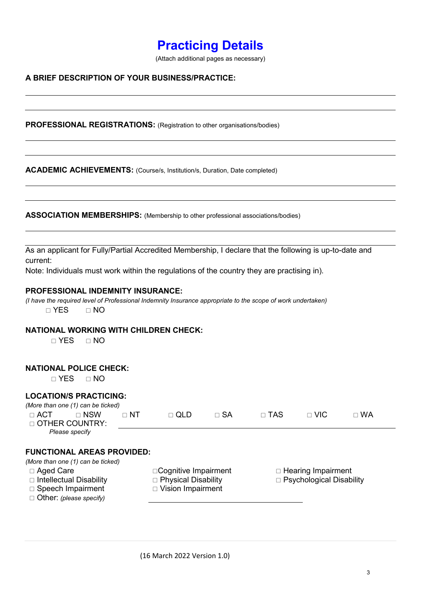# **Practicing Details**

(Attach additional pages as necessary)

### **A BRIEF DESCRIPTION OF YOUR BUSINESS/PRACTICE:**

**PROFESSIONAL REGISTRATIONS:** (Registration to other organisations/bodies)

**ACADEMIC ACHIEVEMENTS:** (Course/s, Institution/s, Duration, Date completed)

**ASSOCIATION MEMBERSHIPS:** (Membership to other professional associations/bodies)

As an applicant for Fully/Partial Accredited Membership, I declare that the following is up-to-date and current:

Note: Individuals must work within the regulations of the country they are practising in).

#### **PROFESSIONAL INDEMNITY INSURANCE:**

*(I have the required level of Professional Indemnity Insurance appropriate to the scope of work undertaken)*  $\Box$  YES  $\Box$  NO

#### **NATIONAL WORKING WITH CHILDREN CHECK:**

 $\neg$  YES  $\neg$  NO

## **NATIONAL POLICE CHECK:**

 $\neg$  YES  $\neg$  NO

# **LOCATION/S PRACTICING:**

|              | (More than one (1) can be ticked) |             |              |             |              |              |             |
|--------------|-----------------------------------|-------------|--------------|-------------|--------------|--------------|-------------|
| $\sqcap$ ACT | $\sqcap$ NSW                      | $\sqcap$ NT | $\sqcap$ QLD | $\sqcap$ SA | $\sqcap$ TAS | $\sqcap$ VIC | $\sqcap$ WA |
|              | □ OTHER COUNTRY:                  |             |              |             |              |              |             |
|              | Please specify                    |             |              |             |              |              |             |
|              |                                   |             |              |             |              |              |             |

# **FUNCTIONAL AREAS PROVIDED:**

*(More than one (1) can be ticked)*

- 
- 
- Speech Impairment Vision Impairment
- Other: *(please specify)*
- $\Box$  Intellectual Disability  $\Box$  Physical Disability  $\Box$  Psychological Disability

 $\Box$  Aged Care  $\Box$  Cognitive Impairment  $\Box$  Hearing Impairment